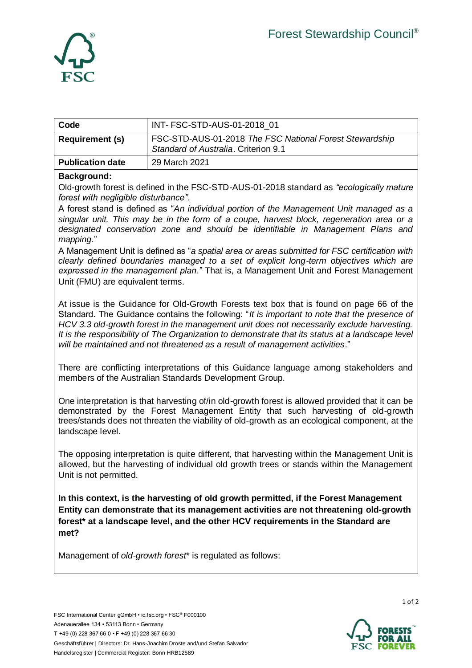

| Code                    | INT- FSC-STD-AUS-01-2018 01                                                                     |
|-------------------------|-------------------------------------------------------------------------------------------------|
| <b>Requirement (s)</b>  | FSC-STD-AUS-01-2018 The FSC National Forest Stewardship<br>Standard of Australia, Criterion 9.1 |
| <b>Publication date</b> | 29 March 2021                                                                                   |

## **Background:**

Old-growth forest is defined in the FSC-STD-AUS-01-2018 standard as *"ecologically mature forest with negligible disturbance"*.

A forest stand is defined as "*An individual portion of the Management Unit managed as a singular unit. This may be in the form of a coupe, harvest block, regeneration area or a designated conservation zone and should be identifiable in Management Plans and mapping.*"

A Management Unit is defined as "*a spatial area or areas submitted for FSC certification with clearly defined boundaries managed to a set of explicit long-term objectives which are expressed in the management plan."* That is, a Management Unit and Forest Management Unit (FMU) are equivalent terms.

At issue is the Guidance for Old-Growth Forests text box that is found on page 66 of the Standard. The Guidance contains the following: "*It is important to note that the presence of HCV 3.3 old-growth forest in the management unit does not necessarily exclude harvesting. It is the responsibility of The Organization to demonstrate that its status at a landscape level will be maintained and not threatened as a result of management activities*."

There are conflicting interpretations of this Guidance language among stakeholders and members of the Australian Standards Development Group.

One interpretation is that harvesting of/in old-growth forest is allowed provided that it can be demonstrated by the Forest Management Entity that such harvesting of old-growth trees/stands does not threaten the viability of old-growth as an ecological component, at the landscape level.

The opposing interpretation is quite different, that harvesting within the Management Unit is allowed, but the harvesting of individual old growth trees or stands within the Management Unit is not permitted.

**In this context, is the harvesting of old growth permitted, if the Forest Management Entity can demonstrate that its management activities are not threatening old-growth forest\* at a landscape level, and the other HCV requirements in the Standard are met?** 

Management of *old-growth forest*\* is regulated as follows:



1 of 2